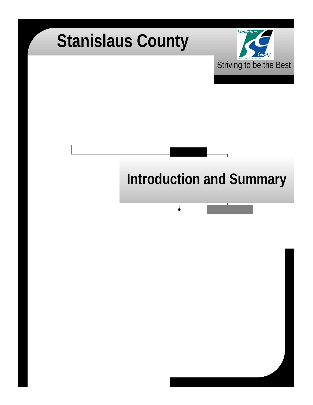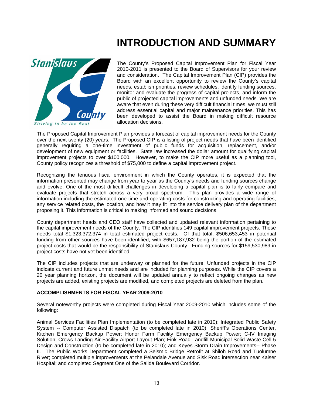### **INTRODUCTION AND SUMMARY**



The County's Proposed Capital Improvement Plan for Fiscal Year 2010-2011 is presented to the Board of Supervisors for your review and consideration. The Capital Improvement Plan (CIP) provides the Board with an excellent opportunity to review the County's capital needs, establish priorities, review schedules, identify funding sources, monitor and evaluate the progress of capital projects, and inform the public of projected capital improvements and unfunded needs. We are aware that even during these very difficult financial times, we must still address essential capital and major maintenance priorities. This has been developed to assist the Board in making difficult resource allocation decisions.

The Proposed Capital Improvement Plan provides a forecast of capital improvement needs for the County over the next twenty (20) years. The Proposed CIP is a listing of project needs that have been identified generally requiring a one-time investment of public funds for acquisition, replacement, and/or development of new equipment or facilities. State law increased the dollar amount for qualifying capital improvement projects to over \$100,000. However, to make the CIP more useful as a planning tool, County policy recognizes a threshold of \$75,000 to define a capital improvement project.

Recognizing the tenuous fiscal environment in which the County operates, it is expected that the information presented may change from year to year as the County's needs and funding sources change and evolve. One of the most difficult challenges in developing a capital plan is to fairly compare and evaluate projects that stretch across a very broad spectrum. This plan provides a wide range of information including the estimated one-time and operating costs for constructing and operating facilities, any service related costs, the location, and how it may fit into the service delivery plan of the department proposing it. This information is critical to making informed and sound decisions.

County department heads and CEO staff have collected and updated relevant information pertaining to the capital improvement needs of the County. The CIP identifies 149 capital improvement projects. Those needs total \$1,323,372,374 in total estimated project costs. Of that total, \$506,653,453 in potential funding from other sources have been identified, with \$657,187,932 being the portion of the estimated project costs that would be the responsibility of Stanislaus County. Funding sources for \$159,530,989 in project costs have not yet been identified.

The CIP includes projects that are underway or planned for the future. Unfunded projects in the CIP indicate current and future unmet needs and are included for planning purposes. While the CIP covers a 20 year planning horizon, the document will be updated annually to reflect ongoing changes as new projects are added, existing projects are modified, and completed projects are deleted from the plan.

#### **ACCOMPLISHMENTS FOR FISCAL YEAR 2009-2010**

Several noteworthy projects were completed during Fiscal Year 2009-2010 which includes some of the following:

Animal Services Facilities Plan Implementation (to be completed late in 2010); Integrated Public Safety System -- Computer Assisted Dispatch (to be completed late in 2010); Sheriff's Operations Center, Kitchen Emergency Backup Power; Honor Farm Facility Emergency Backup Power; C-IV Imaging Solution; Crows Landing Air Facility Airport Layout Plan; Fink Road Landfill Municipal Solid Waste Cell 5 Design and Construction (to be completed late in 2010); and Keyes Storm Drain Improvements-- Phase II. The Public Works Department completed a Seismic Bridge Retrofit at Shiloh Road and Tuolumne River; completed multiple improvements at the Pelandale Avenue and Sisk Road intersection near Kaiser Hospital; and completed Segment One of the Salida Boulevard Corridor.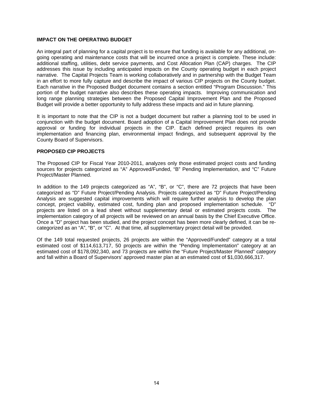#### **IMPACT ON THE OPERATING BUDGET**

An integral part of planning for a capital project is to ensure that funding is available for any additional, ongoing operating and maintenance costs that will be incurred once a project is complete. These include: additional staffing, utilities, debt service payments, and Cost Allocation Plan (CAP) charges. The CIP addresses this issue by including anticipated impacts on the County operating budget in each project narrative. The Capital Projects Team is working collaboratively and in partnership with the Budget Team in an effort to more fully capture and describe the impact of various CIP projects on the County budget. Each narrative in the Proposed Budget document contains a section entitled "Program Discussion." This portion of the budget narrative also describes these operating impacts. Improving communication and long range planning strategies between the Proposed Capital Improvement Plan and the Proposed Budget will provide a better opportunity to fully address these impacts and aid in future planning.

It is important to note that the CIP is not a budget document but rather a planning tool to be used in conjunction with the budget document. Board adoption of a Capital Improvement Plan does not provide approval or funding for individual projects in the CIP. Each defined project requires its own implementation and financing plan, environmental impact findings, and subsequent approval by the County Board of Supervisors.

#### **PROPOSED CIP PROJECTS**

The Proposed CIP for Fiscal Year 2010-2011, analyzes only those estimated project costs and funding sources for projects categorized as "A" Approved/Funded, "B" Pending Implementation, and "C" Future Project/Master Planned.

In addition to the 149 projects categorized as "A", "B", or "C", there are 72 projects that have been categorized as "D" Future Project/Pending Analysis. Projects categorized as "D" Future Project/Pending Analysis are suggested capital improvements which will require further analysis to develop the plan concept, project viability, estimated cost, funding plan and proposed implementation schedule. "D" projects are listed on a lead sheet without supplementary detail or estimated projects costs. The implementation category of all projects will be reviewed on an annual basis by the Chief Executive Office. Once a "D" project has been studied, and the project concept has been more clearly defined, it can be recategorized as an "A", "B", or "C". At that time, all supplementary project detail will be provided.

Of the 149 total requested projects, 26 projects are within the "Approved/Funded" category at a total estimated cost of \$114,613,717, 50 projects are within the "Pending Implementation" category at an estimated cost of \$178,092,340, and 73 projects are within the "Future Project/Master Planned" category and fall within a Board of Supervisors' approved master plan at an estimated cost of \$1,030,666,317.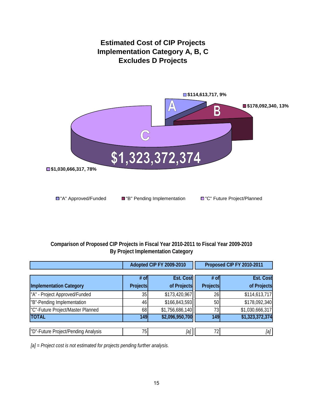

### **Comparison of Proposed CIP Projects in Fiscal Year 2010-2011 to Fiscal Year 2009-2010 By Project Implementation Category**

|                                                                 |                                                              | Adopted CIP FY 2009-2010 |                                      | Proposed CIP FY 2010-2011    |  |
|-----------------------------------------------------------------|--------------------------------------------------------------|--------------------------|--------------------------------------|------------------------------|--|
|                                                                 | <b>Est. Cost</b><br>$#$ of<br>of Projects<br><b>Projects</b> |                          | <b>Est. Cost</b><br># of<br>Projects |                              |  |
| <b>Implementation Category</b><br>"A" - Project Approved/Funded | 35                                                           | \$173,420,967            | 26                                   | of Projects<br>\$114,613,717 |  |
| "B"-Pending Implementation                                      | 46                                                           | \$166,843,593            | 50                                   | \$178,092,340                |  |
| "C"-Future Project/Master Planned                               | 68                                                           | \$1,756,686,140          | 73                                   | \$1,030,666,317              |  |
| <b>TOTAL</b>                                                    | 149                                                          | \$2,096,950,700          | 149                                  | \$1,323,372,374              |  |
|                                                                 |                                                              |                          |                                      |                              |  |
| "D"-Future Project/Pending Analysis                             | 751                                                          | [a]                      | 72                                   | [a]                          |  |

*[a] = Project cost is not estimated for projects pending further analysis.*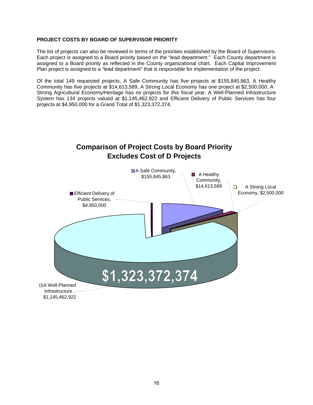#### **PROJECT COSTS BY BOARD OF SUPERVISOR PRIORITY**

The list of projects can also be reviewed in terms of the priorities established by the Board of Supervisors. Each project is assigned to a Board priority based on the "lead department." Each County department is assigned to a Board priority as reflected in the County organizational chart. Each Capital Improvement Plan project is assigned to a "lead department" that is responsible for implementation of the project.

Of the total 149 requested projects, A Safe Community has five projects at \$155,845,863, A Healthy Community has five projects at \$14,613,589, A Strong Local Economy has one project at \$2,500,000, A Strong Agricultural Economy/Heritage has no projects for this fiscal year, A Well-Planned Infrastructure System has 134 projects valued at \$1,145,462,922 and Efficient Delivery of Public Services has four projects at \$4,950,000 for a Grand Total of \$1,323,372,374.

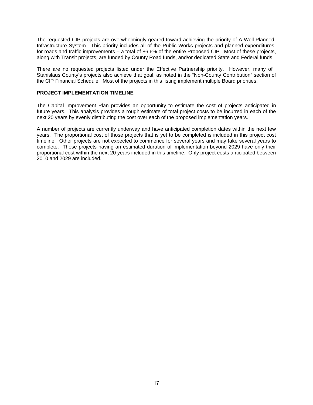The requested CIP projects are overwhelmingly geared toward achieving the priority of A Well-Planned Infrastructure System. This priority includes all of the Public Works projects and planned expenditures for roads and traffic improvements – a total of 86.6% of the entire Proposed CIP. Most of these projects, along with Transit projects, are funded by County Road funds, and/or dedicated State and Federal funds.

There are no requested projects listed under the Effective Partnership priority. However, many of Stanislaus County's projects also achieve that goal, as noted in the "Non-County Contribution" section of the CIP Financial Schedule. Most of the projects in this listing implement multiple Board priorities.

#### **PROJECT IMPLEMENTATION TIMELINE**

The Capital Improvement Plan provides an opportunity to estimate the cost of projects anticipated in future years. This analysis provides a rough estimate of total project costs to be incurred in each of the next 20 years by evenly distributing the cost over each of the proposed implementation years.

A number of projects are currently underway and have anticipated completion dates within the next few years. The proportional cost of those projects that is yet to be completed is included in this project cost timeline. Other projects are not expected to commence for several years and may take several years to complete. Those projects having an estimated duration of implementation beyond 2029 have only their proportional cost within the next 20 years included in this timeline. Only project costs anticipated between 2010 and 2029 are included.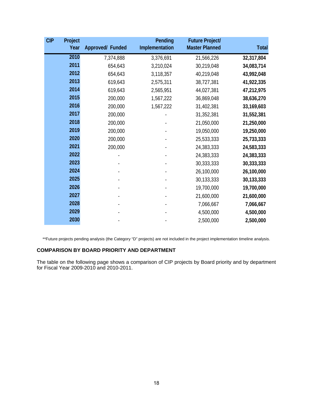| <b>CIP</b> | Project<br>Year | Approved/ Funded | Pending<br>Implementation | <b>Future Project/</b><br><b>Master Planned</b> | <b>Total</b> |
|------------|-----------------|------------------|---------------------------|-------------------------------------------------|--------------|
|            | 2010            | 7,374,888        | 3,376,691                 | 21,566,226                                      | 32,317,804   |
|            | 2011            | 654,643          | 3,210,024                 | 30,219,048                                      | 34,083,714   |
|            | 2012            | 654,643          | 3,118,357                 | 40,219,048                                      | 43,992,048   |
|            | 2013            | 619,643          | 2,575,311                 | 38,727,381                                      | 41,922,335   |
|            | 2014            | 619,643          | 2,565,951                 | 44,027,381                                      | 47,212,975   |
|            | 2015            | 200,000          | 1,567,222                 | 36,869,048                                      | 38,636,270   |
|            | 2016            | 200,000          | 1,567,222                 | 31,402,381                                      | 33,169,603   |
|            | 2017            | 200,000          |                           | 31,352,381                                      | 31,552,381   |
|            | 2018            | 200,000          |                           | 21,050,000                                      | 21,250,000   |
|            | 2019            | 200,000          |                           | 19,050,000                                      | 19,250,000   |
|            | 2020            | 200,000          |                           | 25,533,333                                      | 25,733,333   |
|            | 2021            | 200,000          |                           | 24,383,333                                      | 24,583,333   |
|            | 2022            |                  |                           | 24,383,333                                      | 24,383,333   |
|            | 2023            |                  |                           | 30,333,333                                      | 30,333,333   |
|            | 2024            |                  |                           | 26,100,000                                      | 26,100,000   |
|            | 2025            |                  |                           | 30,133,333                                      | 30,133,333   |
|            | 2026            |                  |                           | 19,700,000                                      | 19,700,000   |
|            | 2027            |                  |                           | 21,600,000                                      | 21,600,000   |
|            | 2028            |                  |                           | 7,066,667                                       | 7,066,667    |
|            | 2029            |                  |                           | 4,500,000                                       | 4,500,000    |
|            | 2030            |                  |                           | 2,500,000                                       | 2,500,000    |

\*\*Future projects pending analysis (the Category "D" projects) are not included in the project implementation timeline analysis.

#### **COMPARISON BY BOARD PRIORITY AND DEPARTMENT**

The table on the following page shows a comparison of CIP projects by Board priority and by department for Fiscal Year 2009-2010 and 2010-2011.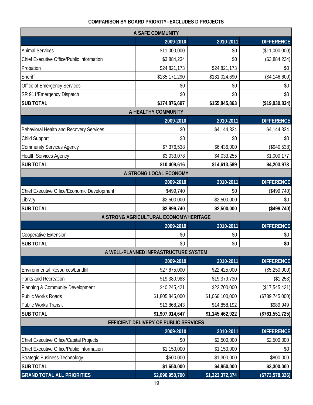### **COMPARISON BY BOARD PRIORITY--EXCLUDES D PROJECTS**

|                                             | A SAFE COMMUNITY                       |                 |                    |
|---------------------------------------------|----------------------------------------|-----------------|--------------------|
|                                             | 2009-2010                              | 2010-2011       | <b>DIFFERENCE</b>  |
| <b>Animal Services</b>                      | \$11,000,000                           | \$0             | (\$11,000,000)     |
| Chief Executive Office/Public Information   | \$3,884,234                            | \$0             | (\$3,884,234)      |
| Probation                                   | \$24,821,173                           | \$24,821,173    | \$0                |
| Sheriff                                     | \$135,171,290                          | \$131,024,690   | (\$4,146,600)      |
| Office of Emergency Services                | \$0                                    | \$0             | \$0                |
| SR 911/Emergency Dispatch                   | \$0                                    | \$0             | \$0                |
| <b>SUB TOTAL</b>                            | \$174,876,697                          | \$155,845,863   | (\$19,030,834)     |
|                                             | A HEALTHY COMMUNITY                    |                 |                    |
|                                             | 2009-2010                              | 2010-2011       | <b>DIFFERENCE</b>  |
| Behavioral Health and Recovery Services     | \$0                                    | \$4,144,334     | \$4,144,334        |
| Child Support                               | \$0                                    | \$0             | \$0                |
| <b>Community Services Agency</b>            | \$7,376,538                            | \$6,436,000     | (\$940,538)        |
| <b>Health Services Agency</b>               | \$3,033,078                            | \$4,033,255     | \$1,000,177        |
| <b>SUB TOTAL</b>                            | \$10,409,616                           | \$14,613,589    | \$4,203,973        |
|                                             | A STRONG LOCAL ECONOMY                 |                 |                    |
|                                             | 2009-2010                              | 2010-2011       | <b>DIFFERENCE</b>  |
| Chief Executive Office/Economic Development | \$499,740                              | \$0             | $(*499,740)$       |
| Library                                     | \$2,500,000                            | \$2,500,000     | \$0                |
| <b>SUB TOTAL</b>                            | \$2,999,740                            | \$2,500,000     | (\$499,740)        |
|                                             | A STRONG AGRICULTURAL ECONOMY/HERITAGE |                 |                    |
|                                             | 2009-2010                              | 2010-2011       | <b>DIFFERENCE</b>  |
| <b>Cooperative Extension</b>                | \$0                                    | \$0             | \$0                |
| <b>SUB TOTAL</b>                            | \$0                                    | \$0             | \$0                |
|                                             | A WELL-PLANNED INFRASTRUCTURE SYSTEM   |                 |                    |
|                                             | 2009-2010                              | 2010-2011       | <b>DIFFERENCE</b>  |
| Environmental Resources/Landfill            | \$27,675,000                           | \$22,425,000    | (\$5,250,000)      |
| Parks and Recreation                        | \$19,380,983                           | \$19,379,730    | (\$1,253)          |
| Planning & Community Development            | \$40,245,421                           | \$22,700,000    | (\$17,545,421)     |
| Public Works Roads                          | \$1,805,845,000                        | \$1,066,100,000 | (\$739,745,000)    |
| Public Works Transit                        | \$13,868,243                           | \$14,858,192    | \$989,949          |
| <b>SUB TOTAL</b>                            | \$1,907,014,647                        | \$1,145,462,922 | (\$761,551,725)    |
|                                             | EFFICIENT DELIVERY OF PUBLIC SERVICES  |                 |                    |
|                                             | 2009-2010                              | 2010-2011       | <b>DIFFERENCE</b>  |
| Chief Executive Office/Capital Projects     | \$0                                    | \$2,500,000     | \$2,500,000        |
| Chief Executive Office/Public Information   | \$1,150,000                            | \$1,150,000     | \$0                |
| <b>Strategic Business Technology</b>        | \$500,000                              | \$1,300,000     | \$800,000          |
| <b>SUB TOTAL</b>                            | \$1,650,000                            | \$4,950,000     | \$3,300,000        |
| <b>GRAND TOTAL ALL PRIORITIES</b>           | \$2,096,950,700                        | \$1,323,372,374 | $($ \$773,578,326) |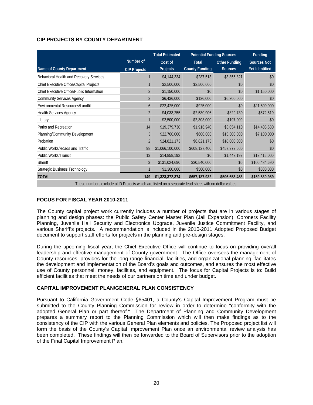### **CIP PROJECTS BY COUNTY DEPARTMENT**

|                                                                                                       |                     | <b>Total Estimated</b> |                       | <b>Potential Funding Sources</b> | <b>Funding</b>     |
|-------------------------------------------------------------------------------------------------------|---------------------|------------------------|-----------------------|----------------------------------|--------------------|
|                                                                                                       | Number of           | Cost of                | <b>Total</b>          | <b>Other Funding</b>             | <b>Sources Not</b> |
| Name of County Department                                                                             | <b>CIP Projects</b> | Projects               | <b>County Funding</b> | <b>Sources</b>                   | Yet Identified     |
| Behavioral Health and Recovery Services                                                               |                     | \$4,144,334            | \$287,513             | \$3,856,821                      | \$0                |
| Chief Executive Office/Capital Projects                                                               |                     | \$2,500,000            | \$2,500,000           | \$0                              | \$0                |
| Chief Executive Office/Public Information                                                             |                     | \$1,150,000            | \$0                   | \$0                              | \$1,150,000        |
| <b>Community Services Agency</b>                                                                      | $\overline{2}$      | \$6,436,000            | \$136,000             | \$6,300,000                      | \$0                |
| Environmental Resources/Landfill                                                                      | 6                   | \$22,425,000           | \$925,000             | \$0                              | \$21,500,000       |
| Health Services Agency                                                                                | 2                   | \$4,033,255            | \$2,530,906           | \$829,730                        | \$672,619          |
| Library                                                                                               |                     | \$2,500,000            | \$2,303,000           | \$197,000                        | \$0                |
| Parks and Recreation                                                                                  | 14                  | \$19,379,730           | \$1,916,940           | \$3,054,110                      | \$14,408,680       |
| Planning/Community Development                                                                        | 3                   | \$22,700,000           | \$600,000             | \$15,000,000                     | \$7,100,000        |
| Probation                                                                                             | $\overline{2}$      | \$24,821,173           | \$6,821,173           | \$18,000,000                     | \$0                |
| Public Works/Roads and Traffic                                                                        | 98                  | \$1,066,100,000        | \$608,127,400         | \$457,972,600                    | \$0                |
| <b>Public Works/Transit</b>                                                                           | 13                  | \$14,858,192           | \$0                   | \$1,443,192                      | \$13,415,000       |
| <b>Sheriff</b>                                                                                        | 3                   | \$131,024,690          | \$30,540,000          | \$0                              | \$100,484,690      |
| <b>Strategic Business Technology</b>                                                                  |                     | \$1,300,000            | \$500,000             | \$0                              | \$800,000          |
| <b>TOTAL</b>                                                                                          | 149                 | \$1,323,372,374        | \$657,187,932         | \$506,653,453                    | \$159,530,989      |
| These numbers exclude all D Projects which are listed on a separate lead sheet with no dollar values. |                     |                        |                       |                                  |                    |

#### **FOCUS FOR FISCAL YEAR 2010-2011**

The County capital project work currently includes a number of projects that are in various stages of planning and design phases: the Public Safety Center Master Plan (Jail Expansion), Coroners Facility Planning, Juvenile Hall Security and Electronics Upgrade, Juvenile Justice Commitment Facility, and various Sheriff's projects. A recommendation is included in the 2010-2011 Adopted Proposed Budget document to support staff efforts for projects in the planning and pre-design stages.

During the upcoming fiscal year, the Chief Executive Office will continue to focus on providing overall leadership and effective management of County government. The Office oversees the management of County resources; provides for the long-range financial, facilities, and organizational planning; facilitates the development and implementation of the Board's goals and outcomes, and ensures the most effective use of County personnel, money, facilities, and equipment. The focus for Capital Projects is to: Build efficient facilities that meet the needs of our partners on time and under budget.

#### **CAPITAL IMPROVEMENT PLAN/GENERAL PLAN CONSISTENCY**

Pursuant to California Government Code §65401, a County's Capital Improvement Program must be submitted to the County Planning Commission for review in order to determine "conformity with the adopted General Plan or part thereof." The Department of Planning and Community Development prepares a summary report to the Planning Commission which will then make findings as to the consistency of the CIP with the various General Plan elements and policies. The Proposed project list will form the basis of the County's Capital Improvement Plan once an environmental review analysis has been completed. These findings will then be forwarded to the Board of Supervisors prior to the adoption of the Final Capital Improvement Plan.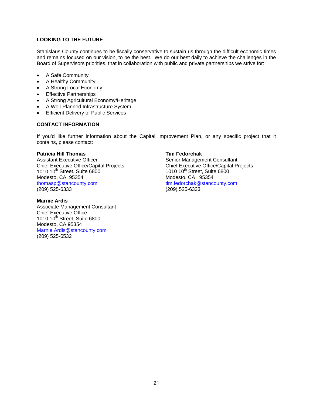#### **LOOKING TO THE FUTURE**

Stanislaus County continues to be fiscally conservative to sustain us through the difficult economic times and remains focused on our vision, to be the best. We do our best daily to achieve the challenges in the Board of Supervisors priorities, that in collaboration with public and private partnerships we strive for:

- A Safe Community
- A Healthy Community
- A Strong Local Economy
- **Effective Partnerships**
- A Strong Agricultural Economy/Heritage
- A Well-Planned Infrastructure System
- **Efficient Delivery of Public Services**

#### **CONTACT INFORMATION**

If you'd like further information about the Capital Improvement Plan, or any specific project that it contains, please contact:

#### **Patricia Hill Thomas Tim Fedorchak**

Assistant Executive Officer Senior Management Consultant Chief Executive Office/Capital Projects<br>
1010 10<sup>th</sup> Street. Suite 6800<br>
1010 10<sup>th</sup> Street. Suite 6800  $1010\ 10^{th}$  Street, Suite 6800<br>
Modesto, CA 95354<br>
Modesto, CA 95354 Modesto, CA 95354<br>
thomasp@stancounty.com in the mass of the mass of the mass of the mass of the mass of the mass of the mass of the mass of the mass of the mass of the mass of the mass of the mass of the mass of the mass (209) 525-6333 (209) 525-6333

#### **Marnie Ardis**

Associate Management Consultant Chief Executive Office 1010 10<sup>th</sup> Street, Suite 6800 Modesto, CA 95354 Marnie.Ardis@stancounty.com (209) 525-6532

tim.fedorchak@stancounty.com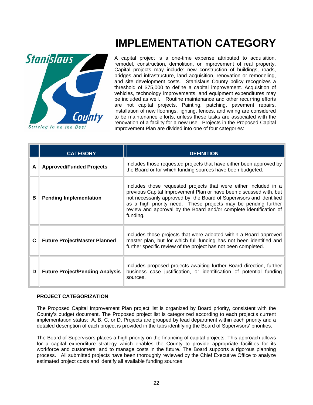

**IMPLEMENTATION CATEGORY**

A capital project is a one-time expense attributed to acquisition, remodel, construction, demolition, or improvement of real property. Capital projects may include: new construction of buildings, roads, bridges and infrastructure, land acquisition, renovation or remodeling, and site development costs. Stanislaus County policy recognizes a threshold of \$75,000 to define a capital improvement. Acquisition of vehicles, technology improvements, and equipment expenditures may be included as well. Routine maintenance and other recurring efforts are not capital projects. Painting, patching, pavement repairs, installation of new floorings, lighting, fences, and wiring are considered to be maintenance efforts, unless these tasks are associated with the renovation of a facility for a new use. Projects in the Proposed Capital Improvement Plan are divided into one of four categories:

|   | <b>CATEGORY</b>                        | <b>DEFINITION</b>                                                                                                                                                                                                                                                                                                                                                  |
|---|----------------------------------------|--------------------------------------------------------------------------------------------------------------------------------------------------------------------------------------------------------------------------------------------------------------------------------------------------------------------------------------------------------------------|
| A | <b>Approved/Funded Projects</b>        | Includes those requested projects that have either been approved by<br>the Board or for which funding sources have been budgeted.                                                                                                                                                                                                                                  |
| в | <b>Pending Implementation</b>          | Includes those requested projects that were either included in a<br>previous Capital Improvement Plan or have been discussed with, but<br>not necessarily approved by, the Board of Supervisors and identified<br>as a high priority need. These projects may be pending further<br>review and approval by the Board and/or complete identification of<br>funding. |
| C | <b>Future Project/Master Planned</b>   | Includes those projects that were adopted within a Board approved<br>master plan, but for which full funding has not been identified and<br>further specific review of the project has not been completed.                                                                                                                                                         |
| D | <b>Future Project/Pending Analysis</b> | Includes proposed projects awaiting further Board direction, further<br>business case justification, or identification of potential funding<br>sources.                                                                                                                                                                                                            |

#### **PROJECT CATEGORIZATION**

The Proposed Capital Improvement Plan project list is organized by Board priority, consistent with the County's budget document. The Proposed project list is categorized according to each project's current implementation status: A, B, C, or D. Projects are grouped by lead department within each priority and a detailed description of each project is provided in the tabs identifying the Board of Supervisors' priorities.

The Board of Supervisors places a high priority on the financing of capital projects. This approach allows for a capital expenditure strategy which enables the County to provide appropriate facilities for its workforce and customers, and to manage costs in the future. The Board supports a rigorous planning process. All submitted projects have been thoroughly reviewed by the Chief Executive Office to analyze estimated project costs and identify all available funding sources.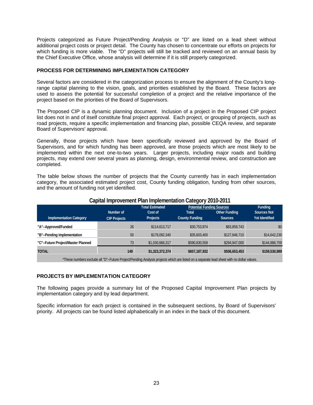Projects categorized as Future Project/Pending Analysis or "D" are listed on a lead sheet without additional project costs or project detail. The County has chosen to concentrate our efforts on projects for which funding is more viable. The "D" projects will still be tracked and reviewed on an annual basis by the Chief Executive Office, whose analysis will determine if it is still properly categorized.

#### **PROCESS FOR DETERMINING IMPLEMENTATION CATEGORY**

Several factors are considered in the categorization process to ensure the alignment of the County's longrange capital planning to the vision, goals, and priorities established by the Board. These factors are used to assess the potential for successful completion of a project and the relative importance of the project based on the priorities of the Board of Supervisors.

The Proposed CIP is a dynamic planning document. Inclusion of a project in the Proposed CIP project list does not in and of itself constitute final project approval. Each project, or grouping of projects, such as road projects, require a specific implementation and financing plan, possible CEQA review, and separate Board of Supervisors' approval.

Generally, those projects which have been specifically reviewed and approved by the Board of Supervisors, and for which funding has been approved, are those projects which are most likely to be implemented within the next one-to-two years. Larger projects, including major roads and building projects, may extend over several years as planning, design, environmental review, and construction are completed.

The table below shows the number of projects that the County currently has in each implementation category, the associated estimated project cost, County funding obligation, funding from other sources, and the amount of funding not yet identified.

|                                                                                                                                         |                     | <b>Total Estimated</b> | <b>Potential Funding Sources</b> |                      | <b>Funding</b>        |  |  |
|-----------------------------------------------------------------------------------------------------------------------------------------|---------------------|------------------------|----------------------------------|----------------------|-----------------------|--|--|
|                                                                                                                                         | Number of           | Cost of                | Total                            | <b>Other Funding</b> | <b>Sources Not</b>    |  |  |
| <b>Implementation Category</b>                                                                                                          | <b>CIP Projects</b> | <b>Projects</b>        | <b>County Funding</b>            | <b>Sources</b>       | <b>Yet Identified</b> |  |  |
| "A"--Approved/Funded                                                                                                                    | 26                  | \$114,613,717          | \$30,753,974                     | \$83,859,743         | \$0                   |  |  |
| "B"--Pending Implementation                                                                                                             | 50                  | \$178,092,340          | \$35,603,400                     | \$127,846,710        | \$14,642,230          |  |  |
| "C"--Future Project/Master Planned                                                                                                      | 73                  | \$1,030,666,317        | \$590,830,558                    | \$294,947,000        | \$144,888,759         |  |  |
| <b>TOTAL</b>                                                                                                                            | 149                 | \$1,323,372,374        | \$657,187,932                    | \$506,653,453        | \$159,530,989         |  |  |
| *These numbers evolude all "D" Euture Dreject/Dending Analysis projects which are listed an a senarate lead sheet with no dellar values |                     |                        |                                  |                      |                       |  |  |

#### **Capital Improvement Plan Implementation Category 2010-2011**

\*These numbers exclude all "D"--Future Project/Pending Analysis projects which are listed on a separate lead sheet with no dollar values.

#### **PROJECTS BY IMPLEMENTATION CATEGORY**

The following pages provide a summary list of the Proposed Capital Improvement Plan projects by implementation category and by lead department.

Specific information for each project is contained in the subsequent sections, by Board of Supervisors' priority. All projects can be found listed alphabetically in an index in the back of this document.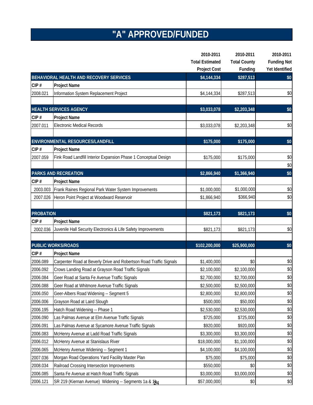# **"A" APPROVED/FUNDED**

|                  |                                                                    | 2010-2011              | 2010-2011           | 2010-2011          |
|------------------|--------------------------------------------------------------------|------------------------|---------------------|--------------------|
|                  |                                                                    | <b>Total Estimated</b> | <b>Total County</b> | <b>Funding Not</b> |
|                  |                                                                    | <b>Project Cost</b>    | Funding             | Yet Identified     |
|                  | BEHAVIORAL HEALTH AND RECOVERY SERVICES                            | \$4,144,334            | \$287,513           | \$0                |
| CIP#             | Project Name                                                       |                        |                     |                    |
| 2008.021         | Information System Replacement Project                             | \$4,144,334            | \$287,513           | \$0                |
|                  |                                                                    |                        |                     |                    |
|                  | <b>HEALTH SERVICES AGENCY</b>                                      | \$3,033,078            | \$2,203,348         | \$0                |
| CIP#             | <b>Project Name</b>                                                |                        |                     |                    |
| 2007.011         | <b>Electronic Medical Records</b>                                  | \$3,033,078            | \$2,203,348         | \$0                |
|                  | ENVIRONMENTAL RESOURCES/LANDFILL                                   | \$175,000              | \$175,000           | \$0                |
| CIP#             | Project Name                                                       |                        |                     |                    |
| 2007.059         | Fink Road Landfill Interior Expansion Phase 1 Conceptual Design    | \$175,000              | \$175,000           | \$0                |
|                  |                                                                    |                        |                     | \$0                |
|                  | <b>PARKS AND RECREATION</b>                                        | \$2,866,940            | \$1,366,940         | \$0                |
| CIP#             | Project Name                                                       |                        |                     |                    |
| 2003.003         | Frank Raines Regional Park Water System Improvements               | \$1,000,000            | \$1,000,000         | \$0                |
| 2007.026         | Heron Point Project at Woodward Reservoir                          | \$1,866,940            | \$366,940           | \$0                |
|                  |                                                                    |                        |                     |                    |
| <b>PROBATION</b> |                                                                    | \$821,173              | \$821,173           | \$0                |
| CIP#             | Project Name                                                       |                        |                     |                    |
| 2002.036         | Juvenile Hall Security Electronics & Life Safety Improvements      | \$821,173              | \$821,173           | \$0                |
|                  |                                                                    |                        |                     |                    |
|                  | <b>PUBLIC WORKS/ROADS</b>                                          | \$102,200,000          | \$25,900,000        | \$0                |
| CIP#             | Project Name                                                       |                        |                     |                    |
| 2006.089         | Carpenter Road at Beverly Drive and Robertson Road Traffic Signals | \$1,400,000            | \$0                 | \$0                |
| 2006.092         | Crows Landing Road at Grayson Road Traffic Signals                 | \$2,100,000            | \$2,100,000         | \$0                |
| 2006.084         | Geer Road at Santa Fe Avenue Traffic Signals                       | \$2,700,000            | \$2,700,000         | \$0                |
| 2006.088         | Geer Road at Whitmore Avenue Traffic Signals                       | \$2,500,000            | \$2,500,000         | \$0                |
| 2006.050         | Geer-Albers Road Widening -- Segment 5                             | \$2,800,000            | \$2,800,000         | \$0                |
| 2006.006         | Grayson Road at Laird Slough                                       | \$500,000              | \$50,000            | \$0                |
| 2006.195         | Hatch Road Widening -- Phase 1                                     | \$2,530,000            | \$2,530,000         | \$0                |
| 2006.090         | Las Palmas Avenue at Elm Avenue Traffic Signals                    | \$725,000              | \$725,000           | \$0                |
| 2006.091         | Las Palmas Avenue at Sycamore Avenue Traffic Signals               | \$920,000              | \$920,000           | \$0                |
| 2006.083         | McHenry Avenue at Ladd Road Traffic Signals                        | \$3,300,000            | \$3,300,000         | \$0                |
| 2006.012         | McHenry Avenue at Stanislaus River                                 | \$18,000,000           | \$1,100,000         | \$0                |
| 2006.065         | McHenry Avenue Widening -- Segment 1                               | \$4,100,000            | \$4,100,000         | \$0                |
| 2007.036         | Morgan Road Operations Yard Facility Master Plan                   | \$75,000               | \$75,000            | \$0                |
| 2008.034         | Railroad Crossing Intersection Improvements                        | \$550,000              | \$0                 | \$0                |
| 2006.085         | Santa Fe Avenue at Hatch Road Traffic Signals                      | \$3,000,000            | \$3,000,000         | \$0                |
| 2006.121         | SR 219 (Kiernan Avenue) Widening -- Segments 1a & 1b4              | \$57,000,000           | \$0                 | \$0                |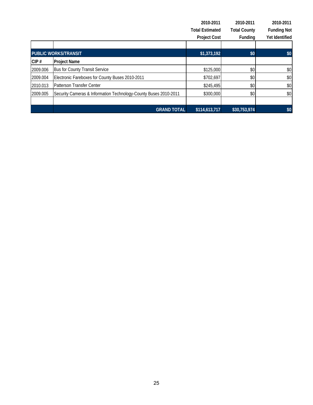|          |                                                                  | 2010-2011              | 2010-2011           | 2010-2011          |
|----------|------------------------------------------------------------------|------------------------|---------------------|--------------------|
|          |                                                                  | <b>Total Estimated</b> | <b>Total County</b> | <b>Funding Not</b> |
|          |                                                                  | <b>Project Cost</b>    | Funding             | Yet Identified     |
|          |                                                                  |                        |                     |                    |
|          | <b>PUBLIC WORKS/TRANSIT</b>                                      | \$1,373,192            | \$0                 | \$0                |
| CIP#     | <b>Project Name</b>                                              |                        |                     |                    |
| 2009.006 | <b>Bus for County Transit Service</b>                            | \$125,000              | \$0                 | \$0                |
| 2009.004 | Electronic Fareboxes for County Buses 2010-2011                  | \$702,697              | \$0                 | \$0                |
| 2010.013 | Patterson Transfer Center                                        | \$245,495              | \$0                 | \$0                |
| 2009.005 | Security Cameras & Information Technology-County Buses 2010-2011 | \$300,000              | \$0                 | \$0                |
|          |                                                                  |                        |                     |                    |
|          | <b>GRAND TOTAL</b>                                               | \$114,613,717          | \$30,753,974        | \$0                |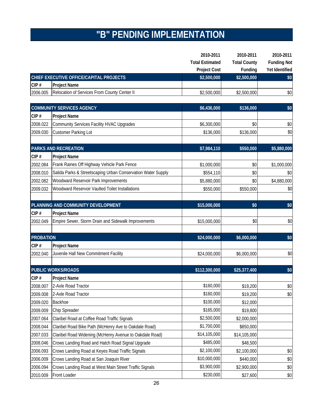# **"B" PENDING IMPLEMENTATION**

|                  |                                                              | 2010-2011              | 2010-2011           | 2010-2011          |
|------------------|--------------------------------------------------------------|------------------------|---------------------|--------------------|
|                  |                                                              | <b>Total Estimated</b> | <b>Total County</b> | <b>Funding Not</b> |
|                  |                                                              | <b>Project Cost</b>    | Funding             | Yet Identified     |
|                  | CHIEF EXECUTIVE OFFICE/CAPITAL PROJECTS                      | \$2,500,000            | \$2,500,000         | \$0                |
| CIP#             | <b>Project Name</b>                                          |                        |                     |                    |
| 2006.005         | Relocation of Services From County Center II                 | \$2,500,000            | \$2,500,000         | \$0                |
|                  | <b>COMMUNITY SERVICES AGENCY</b>                             | \$6,436,000            |                     |                    |
| CIP#             | <b>Project Name</b>                                          |                        | \$136,000           | \$0                |
| 2008.022         |                                                              | \$6,300,000            | \$0                 |                    |
|                  | <b>Community Services Facility HVAC Upgrades</b>             |                        |                     | \$0<br>\$0         |
| 2009.030         | <b>Customer Parking Lot</b>                                  | \$136,000              | \$136,000           |                    |
|                  | <b>PARKS AND RECREATION</b>                                  | \$7,984,110            | \$550,000           | \$5,880,000        |
| CIP#             | <b>Project Name</b>                                          |                        |                     |                    |
| 2002.084         | Frank Raines Off Highway Vehicle Park Fence                  | \$1,000,000            | \$0                 | \$1,000,000        |
| 2008.010         | Salida Parks & Streetscaping Urban Conservation Water Supply | \$554,110              | \$0                 | \$0                |
| 2002.082         | Woodward Reservoir Park Improvements                         | \$5,880,000            | \$0                 | \$4,880,000        |
| 2009.032         | Woodward Reservoir Vaulted Toilet Installations              | \$550,000              | \$550,000           | \$0                |
|                  |                                                              |                        |                     |                    |
|                  | PLANNING AND COMMUNITY DEVELOPMENT                           | \$15,000,000           | \$0                 | \$0                |
| CIP#             | <b>Project Name</b>                                          |                        |                     |                    |
| 2002.049         | Empire Sewer, Storm Drain and Sidewalk Improvements          | \$15,000,000           | \$0                 | \$0                |
|                  |                                                              |                        |                     |                    |
| <b>PROBATION</b> |                                                              | \$24,000,000           | \$6,000,000         | \$0                |
| CIP#             | <b>Project Name</b>                                          |                        |                     |                    |
| 2002.040         | Juvenile Hall New Commitment Facility                        | \$24,000,000           | \$6,000,000         | \$0                |
|                  |                                                              |                        |                     |                    |
|                  | <b>PUBLIC WORKS/ROADS</b>                                    | \$112,300,000          | \$25,377,400        | \$0                |
| CIP#             | <b>Project Name</b>                                          |                        |                     |                    |
| 2008.007         | 2-Axle Road Tractor                                          | \$160,000              | \$19,200            | $$0$$              |
| 2009.008         | 2-Axle Road Tractor                                          | \$160,000              | \$19,200            | \$0                |
| 2009.020         | Backhoe                                                      | \$100,000              | \$12,000            |                    |
| 2009.009         | Chip Spreader                                                | \$165,000              | \$19,800            |                    |
| 2007.064         | Claribel Road at Coffee Road Traffic Signals                 | \$2,500,000            | \$2,000,000         |                    |
| 2008.044         | Claribel Road Bike Path (McHenry Ave to Oakdale Road)        | \$1,700,000            | \$850,000           |                    |
| 2007.033         | Claribel Road Widening (McHenry Avenue to Oakdale Road)      | \$14,105,000           | \$14,105,000        |                    |
| 2008.046         | Crows Landing Road and Hatch Road Signal Upgrade             | \$485,000              | \$48,500            |                    |
| 2006.093         | Crows Landing Road at Keyes Road Traffic Signals             | \$2,100,000            | \$2,100,000         | \$0                |
| 2006.009         | Crows Landing Road at San Joaquin River                      | \$10,000,000           | \$440,000           | \$0                |
| 2006.094         | Crows Landing Road at West Main Street Traffic Signals       | \$3,900,000            | \$2,900,000         | \$0                |
| 2010.009         | Front Loader                                                 | \$230,000              | \$27,600            | \$0                |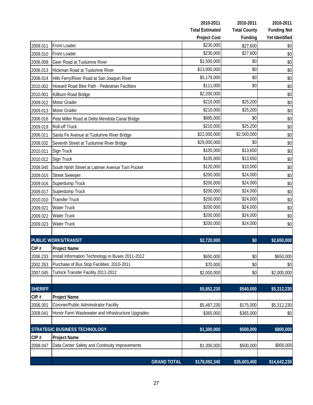|                |                                                   |                    | 2010-2011              | 2010-2011           | 2010-2011          |
|----------------|---------------------------------------------------|--------------------|------------------------|---------------------|--------------------|
|                |                                                   |                    | <b>Total Estimated</b> | <b>Total County</b> | <b>Funding Not</b> |
|                |                                                   |                    | <b>Project Cost</b>    | Funding             | Yet Identified     |
| 2009.011       | Front Loader                                      |                    | \$230,000              | \$27,600            | \$0                |
| 2009.010       | Front Loader                                      |                    | \$230,000              | \$27,600            | \$0                |
| 2006.008       | Geer Road at Tuolumne River                       |                    | \$1,500,000            | \$0                 | \$0                |
| 2006.013       | Hickman Road at Tuolumne River                    |                    | \$13,000,000           | \$0                 | \$0                |
| 2006.014       | Hills Ferry/River Road at San Joaquin River       |                    | \$5,179,000            | \$0                 | \$0                |
| 2010.002       | Howard Road Bike Path - Pedestrian Facilities     |                    | \$111,000              | \$0                 | \$0                |
| 2010.001       | Killburn Road Bridge                              |                    | \$2,200,000            |                     | \$0                |
| 2009.012       | Motor Grader                                      |                    | \$210,000              | \$25,200            | \$0                |
| 2009.013       | Motor Grader                                      |                    | \$210,000              | \$25,200            | \$0                |
| 2006.016       | Pete Miller Road at Delta Mendota Canal Bridge    |                    | \$885,000              | \$0                 | \$0                |
| 2009.019       | <b>Roll-off Truck</b>                             |                    | \$210,000              | \$25,200            | \$0                |
| 2006.011       | Santa Fe Avenue at Tuolumne River Bridge          |                    | \$22,000,000           | \$2,500,000         | \$0                |
| 2008.032       | Seventh Street at Tuolumne River Bridge           |                    | \$29,000,000           | \$0                 | \$0                |
| 2010.011       | Sign Truck                                        |                    | \$105,000              | \$13,650            | \$0                |
| 2010.012       | Sign Truck                                        |                    | \$105,000              | \$13,650            | \$0                |
| 2008.045       | South Ninth Street at Latimer Avenue Turn Pocket  |                    | \$120,000              | \$10,000            | \$0                |
| 2009.015       | <b>Street Sweeper</b>                             |                    | \$200,000              | \$24,000            | \$0                |
| 2009.016       | Superdump Truck                                   |                    | \$200,000              | \$24,000            | \$0                |
| 2009.017       | Superdump Truck                                   |                    | \$200,000              | \$24,000            | \$0                |
| 2010.010       | <b>Transfer Truck</b>                             |                    | \$200,000              | \$24,000            | \$0                |
| 2009.021       | <b>Water Truck</b>                                |                    | \$200,000              | \$24,000            | \$0                |
| 2009.022       | <b>Water Truck</b>                                |                    | \$200,000              | \$24,000            | \$0                |
| 2009.023       | <b>Water Truck</b>                                |                    | \$200,000              | \$24,000            | \$0                |
|                |                                                   |                    |                        |                     |                    |
|                | <b>PUBLIC WORKS/TRANSIT</b>                       |                    | \$2,720,000            | \$0                 | \$2,650,000        |
| CIP#           | <b>Project Name</b>                               |                    |                        |                     |                    |
| 2006.233       | Install Information Technology in Buses 2011-2012 |                    | \$650,000              | \$0                 | \$650,000          |
| 2002.263       | Purchase of Bus Stop Facilities: 2010-2011        |                    | \$70,000               | \$0                 | \$0                |
| 2007.045       | Turlock Transfer Facility 2011-2012               |                    | \$2,000,000            | \$0                 | \$2,000,000        |
|                |                                                   |                    |                        |                     |                    |
| <b>SHERIFF</b> |                                                   |                    | \$5,852,230            | \$540,000           | \$5,312,230        |
| CIP#           | Project Name                                      |                    |                        |                     |                    |
| 2006.001       | Coroner/Public Administrator Facility             |                    | \$5,487,230            | \$175,000           | \$5,312,230        |
| 2008.041       | Honor Farm Wastewater and Infrastructure Upgrades |                    | \$365,000              | \$365,000           | \$0                |
|                |                                                   |                    |                        |                     |                    |
|                | <b>STRATEGIC BUSINESS TECHNOLOGY</b>              |                    | \$1,300,000            | \$500,000           | \$800,000          |
| CIP#           | <b>Project Name</b>                               |                    |                        |                     |                    |
| 2008.047       | Data Center Safety and Continuity Improvements    |                    | \$1,300,000            | \$500,000           | \$800,000          |
|                |                                                   |                    |                        |                     |                    |
|                |                                                   | <b>GRAND TOTAL</b> | \$178,092,340          | \$35,603,400        | \$14,642,230       |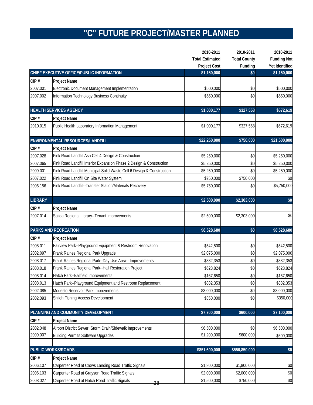### **"C" FUTURE PROJECT/MASTER PLANNED**

|                |                                                                       | 2010-2011              | 2010-2011           | 2010-2011          |
|----------------|-----------------------------------------------------------------------|------------------------|---------------------|--------------------|
|                |                                                                       | <b>Total Estimated</b> | <b>Total County</b> | <b>Funding Not</b> |
|                |                                                                       | <b>Project Cost</b>    | Funding             | Yet Identified     |
|                | CHIEF EXECUTIVE OFFICE/PUBLIC INFORMATION                             | \$1,150,000            | \$0                 | \$1,150,000        |
| CIP#           | <b>Project Name</b>                                                   |                        |                     |                    |
| 2007.001       | Electronic Document Management Implementation                         | \$500,000              | \$0                 | \$500,000          |
| 2007.002       | Information Technology Business Continuity                            | \$650,000              | \$0                 | \$650,000          |
|                | <b>HEALTH SERVICES AGENCY</b>                                         | \$1,000,177            | \$327,558           | \$672,619          |
| CIP#           | Project Name                                                          |                        |                     |                    |
| 2010.015       | Public Health Laboratory Information Management                       | \$1,000,177            | \$327,558           | \$672,619          |
|                | ENVIRONMENTAL RESOURCES/LANDFILL                                      | \$22,250,000           | \$750,000           | \$21,500,000       |
| CIP#           | <b>Project Name</b>                                                   |                        |                     |                    |
| 2007.028       | Fink Road Landfill Ash Cell 4 Design & Construction                   | \$5,250,000            | \$0                 | \$5,250,000        |
| 2007.065       | Fink Road Landfill Interior Expansion Phase 2 Design & Construction   | \$5,250,000            | \$0                 | \$5,250,000        |
| 2009.001       | Fink Road Landfill Municipal Solid Waste Cell 6 Design & Construction | \$5,250,000            | \$0                 | \$5,250,000        |
| 2007.022       | Fink Road Landfill On Site Water System                               | \$750,000              | \$750,000           | \$0                |
| 2006.156       | Fink Road Landfill--Transfer Station/Materials Recovery               | \$5,750,000            | \$0                 | \$5,750,000        |
| <b>LIBRARY</b> |                                                                       |                        |                     | \$0                |
|                |                                                                       | \$2,500,000            | \$2,303,000         |                    |
| CIP#           | <b>Project Name</b>                                                   |                        |                     |                    |
| 2007.014       | Salida Regional Library--Tenant Improvements                          | \$2,500,000            | \$2,303,000         | \$0                |
|                | PARKS AND RECREATION                                                  | \$8,528,680            | \$0                 | \$8,528,680        |
| CIP#           | <b>Project Name</b>                                                   |                        |                     |                    |
| 2008.011       | Fairview Park--Playground Equipment & Restroom Renovation             | \$542,500              | \$0                 | \$542,500          |
| 2002.097       | Frank Raines Regional Park Upgrade                                    | \$2,075,000            | \$0                 | \$2,075,000        |
| 2008.017       | Frank Raines Regional Park--Day Use Area-- Improvements               | \$882,353              | \$0                 | \$882,353          |
| 2008.018       | Frank Raines Regional Park--Hall Restoration Project                  | \$628,824              | \$0                 | \$628,824          |
| 2008.014       | Hatch Park--Ballfield Improvements                                    | \$167,650              | \$0                 | \$167,650          |
| 2008.013       | Hatch Park--Playground Equipment and Restroom Replacement             | \$882,353              | $$0$$               | \$882,353          |
| 2002.085       | Modesto Reservoir Park Improvements                                   | \$3,000,000            | \$0                 | \$3,000,000        |
| 2002.093       | Shiloh Fishing Access Development                                     | \$350,000              | \$0                 | \$350,000          |
|                | PLANNING AND COMMUNITY DEVELOPMENT                                    | \$7,700,000            | \$600,000           | \$7,100,000        |
| CIP#           | <b>Project Name</b>                                                   |                        |                     |                    |
| 2002.048       | Airport District Sewer, Storm Drain/Sidewalk Improvements             | \$6,500,000            | \$0                 | \$6,500,000        |
| 2009.007       | <b>Building Permits Software Upgrades</b>                             | \$1,200,000            | \$600,000           | \$600,000          |
|                |                                                                       |                        |                     |                    |
|                | <b>PUBLIC WORKS/ROADS</b>                                             | \$851,600,000          | \$556,850,000       | \$0                |
| CIP#           | <b>Project Name</b>                                                   |                        |                     |                    |
| 2006.107       | Carpenter Road at Crows Landing Road Traffic Signals                  | \$1,800,000            | \$1,800,000         | \$0                |
| 2006.103       | Carpenter Road at Grayson Road Traffic Signals                        | \$2,000,000            | \$2,000,000         | \$0                |
| 2008.027       | Carpenter Road at Hatch Road Traffic Signals<br>28                    | \$1,500,000            | \$750,000           | $\$0$              |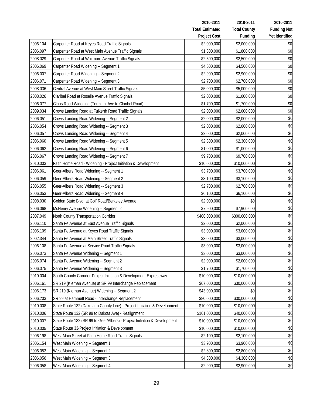|          |                                                                            | 2010-2011              | 2010-2011           | 2010-2011          |
|----------|----------------------------------------------------------------------------|------------------------|---------------------|--------------------|
|          |                                                                            | <b>Total Estimated</b> | <b>Total County</b> | <b>Funding Not</b> |
|          |                                                                            | <b>Project Cost</b>    | Funding             | Yet Identified     |
| 2006.104 | Carpenter Road at Keyes Road Traffic Signals                               | \$2,000,000            | \$2,000,000         | \$0                |
| 2006.097 | Carpenter Road at West Main Avenue Traffic Signals                         | \$1,800,000            | \$1,800,000         | \$0                |
| 2008.029 | Carpenter Road at Whitmore Avenue Traffic Signals                          | \$2,500,000            | \$2,500,000         | $$0$$              |
| 2006.069 | Carpenter Road Widening -- Segment 1                                       | \$4,500,000            | \$4,500,000         | \$0                |
| 2006.007 | Carpenter Road Widening -- Segment 2                                       | \$2,900,000            | \$2,900,000         | \$0                |
| 2006.071 | Carpenter Road Widening -- Segment 3                                       | \$2,700,000            | \$2,700,000         | $$0$$              |
| 2008.036 | Central Avenue at West Main Street Traffic Signals                         | \$5,000,000            | \$5,000,000         | \$0                |
| 2008.026 | Claribel Road at Roselle Avenue Traffic Signals                            | \$2,000,000            | \$1,000,000         | $$0$$              |
| 2006.077 | Claus Road Widening (Terminal Ave to Claribel Road)                        | \$1,700,000            | \$1,700,000         | \$0                |
| 2009.034 | Crows Landing Road at Fulkerth Road Traffic Signals                        | \$2,000,000            | \$2,000,000         | $\$0$              |
| 2006.051 | Crows Landing Road Widening -- Segment 2                                   | \$2,000,000            | \$2,000,000         | \$0                |
| 2006.054 | Crows Landing Road Widening -- Segment 3                                   | \$2,000,000            | \$2,000,000         | \$0                |
| 2006.057 | Crows Landing Road Widening -- Segment 4                                   | \$2,000,000            | \$2,000,000         | \$0                |
| 2006.060 | Crows Landing Road Widening -- Segment 5                                   | \$2,300,000            | \$2,300,000         | \$0                |
| 2006.062 | Crows Landing Road Widening -- Segment 6                                   | \$1,000,000            | \$1,000,000         | \$0                |
| 2006.067 | Crows Landing Road Widening -- Segment 7                                   | \$9,700,000            | \$9,700,000         | \$0                |
| 2010.003 | Faith Home Road - Widening - Project Initiation & Development              | \$10,000,000           | \$10,000,000        | \$0                |
| 2006.061 | Geer-Albers Road Widening -- Segment 1                                     | \$3,700,000            | \$3,700,000         | \$0                |
| 2006.059 | Geer-Albers Road Widening -- Segment 2                                     | \$3,100,000            | \$3,100,000         | \$0                |
| 2006.055 | Geer-Albers Road Widening -- Segment 3                                     | \$2,700,000            | \$2,700,000         | \$0                |
| 2006.053 | Geer-Albers Road Widening -- Segment 4                                     | \$6,100,000            | \$6,100,000         | \$0                |
| 2008.030 | Golden State Blvd. at Golf Road/Berkeley Avenue                            | \$2,000,000            | \$0                 | \$0                |
| 2006.068 | McHenry Avenue Widening -- Segment 2                                       | \$7,900,000            | \$7,900,000         | \$0                |
| 2007.049 | North County Transportation Corridor                                       | \$400,000,000          | \$300,000,000       | \$0                |
| 2006.110 | Santa Fe Avenue at East Avenue Traffic Signals                             | \$2,000,000            | \$2,000,000         | \$0                |
| 2006.109 | Santa Fe Avenue at Keyes Road Traffic Signals                              | \$3,000,000            | \$3,000,000         | \$0                |
| 2002.344 | Santa Fe Avenue at Main Street Traffic Signals                             | \$3,000,000            | \$3,000,000         | \$0                |
| 2006.108 | Santa Fe Avenue at Service Road Traffic Signals                            | \$3,000,000            | \$3,000,000         | \$0                |
| 2006.073 | Santa Fe Avenue Widening -- Segment 1                                      | \$3,000,000            | \$3,000,000         | \$0                |
| 2006.074 | Santa Fe Avenue Widening -- Segment 2                                      | \$2,000,000            | \$2,000,000         | \$0                |
| 2006.075 | Santa Fe Avenue Widening -- Segment 3                                      | \$1,700,000            | \$1,700,000         | \$0                |
| 2010.004 | South County Corridor-Project Initiation & Development-Expressway          | \$10,000,000           | \$10,000,000        | \$0                |
| 2006.161 | SR 219 (Kiernan Avenue) at SR 99 Interchange Replacement                   | \$67,000,000           | \$30,000,000        | \$0                |
| 2006.173 | SR 219 (Kiernan Avenue) Widening -- Segment 2                              | \$43,000,000           | \$0                 | \$0                |
| 2006.203 | SR 99 at Hammett Road - Interchange Replacement                            | \$80,000,000           | \$30,000,000        | \$0                |
| 2010.008 | State Route 132 (Dakota to County Line) - Project Initiation & Development | \$10,000,000           | \$10,000,000        | \$0                |
| 2010.006 | State Route 132 (SR 99 to Dakota Ave) - Realignment                        | \$101,000,000          | \$40,000,000        | \$0                |
| 2010.007 | State Route 132 (SR 99 to Geer/Albers) - Project Initiation & Development  | \$10,000,000           | \$10,000,000        | \$0                |
| 2010.005 | State Route 33-Project Initiation & Development                            | \$10,000,000           | \$10,000,000        | \$0                |
| 2006.198 | West Main Street at Faith Home Road Traffic Signals                        | \$2,100,000            | \$2,100,000         | \$0                |
| 2006.154 | West Main Widening -- Segment 1                                            | \$3,900,000            | \$3,900,000         | \$0                |
| 2006.052 | West Main Widening -- Segment 2                                            | \$2,800,000            | \$2,800,000         | \$0                |
| 2006.056 | West Main Widening -- Segment 3                                            | \$4,300,000            | \$4,300,000         | \$0                |
| 2006.058 | West Main Widening -- Segment 4                                            | \$2,900,000            | \$2,900,000         | \$0                |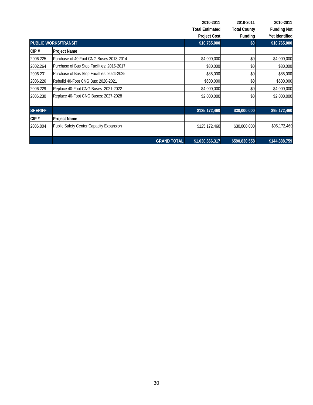|                |                                            | 2010-2011              | 2010-2011           | 2010-2011          |
|----------------|--------------------------------------------|------------------------|---------------------|--------------------|
|                |                                            | <b>Total Estimated</b> | <b>Total County</b> | <b>Funding Not</b> |
|                |                                            | <b>Project Cost</b>    | Funding             | Yet Identified     |
|                | <b>PUBLIC WORKS/TRANSIT</b>                |                        | \$0                 | \$10,765,000       |
| CIP#           | <b>Project Name</b>                        |                        |                     |                    |
| 2006.225       | Purchase of 40 Foot CNG Buses 2013-2014    | \$4,000,000            | \$0                 | \$4,000,000        |
| 2002.264       | Purchase of Bus Stop Facilities: 2016-2017 | \$80,000               | \$0                 | \$80,000           |
| 2006.231       | Purchase of Bus Stop Facilities: 2024-2025 | \$85,000               | \$0                 | \$85,000           |
| 2006.226       | Rebuild 40-Foot CNG Bus: 2020-2021         | \$600,000              | \$0                 | \$600,000          |
| 2006.229       | Replace 40-Foot CNG Buses: 2021-2022       | \$4,000,000            | \$0                 | \$4,000,000        |
| 2006.230       | Replace 40-Foot CNG Buses: 2027-2028       | \$2,000,000            | \$0                 | \$2,000,000        |
| <b>SHERIFF</b> |                                            | \$125,172,460          | \$30,000,000        | \$95,172,460       |
| CIP#           | <b>Project Name</b>                        |                        |                     |                    |
| 2006.004       | Public Safety Center Capacity Expansion    | \$125,172,460          | \$30,000,000        | \$95,172,460       |
|                | <b>GRAND TOTAL</b>                         | \$1,030,666,317        | \$590,830,558       | \$144,888,759      |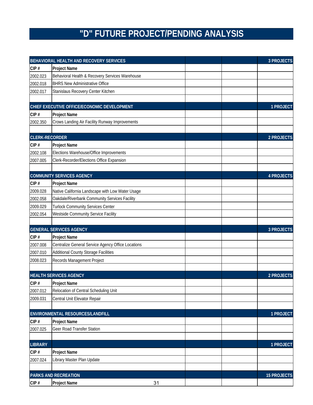# **"D" FUTURE PROJECT/PENDING ANALYSIS**

|                       | BEHAVIORAL HEALTH AND RECOVERY SERVICES            |  | <b>3 PROJECTS</b>  |
|-----------------------|----------------------------------------------------|--|--------------------|
| CIP#                  | <b>Project Name</b>                                |  |                    |
| 2002.023              | Behavioral Health & Recovery Services Warehouse    |  |                    |
| 2002.018              | <b>BHRS New Administrative Office</b>              |  |                    |
| 2002.017              | Stanislaus Recovery Center Kitchen                 |  |                    |
|                       |                                                    |  |                    |
|                       | CHIEF EXECUTIVE OFFICE/ECONOMIC DEVELOPMENT        |  | 1 PROJECT          |
| CIP#                  | <b>Project Name</b>                                |  |                    |
| 2002.350              | Crows Landing Air Facility Runway Improvements     |  |                    |
|                       |                                                    |  |                    |
| <b>CLERK-RECORDER</b> |                                                    |  | 2 PROJECTS         |
| CIP#                  | <b>Project Name</b>                                |  |                    |
| 2002.108              | Elections Warehouse/Office Improvements            |  |                    |
| 2007.005              | Clerk-Recorder/Elections Office Expansion          |  |                    |
|                       |                                                    |  |                    |
|                       | <b>COMMUNITY SERVICES AGENCY</b>                   |  | <b>4 PROJECTS</b>  |
| CIP#                  | <b>Project Name</b>                                |  |                    |
| 2009.028              | Native California Landscape with Low Water Usage   |  |                    |
| 2002.058              | Oakdale/Riverbank Community Services Facility      |  |                    |
| 2009.029              | <b>Turlock Community Services Center</b>           |  |                    |
| 2002.054              | <b>Westside Community Service Facility</b>         |  |                    |
|                       | <b>GENERAL SERVICES AGENCY</b>                     |  | <b>3 PROJECTS</b>  |
| CIP#                  | <b>Project Name</b>                                |  |                    |
| 2007.008              | Centralize General Service Agency Office Locations |  |                    |
| 2007.010              | <b>Additional County Storage Facilities</b>        |  |                    |
| 2008.023              | Records Management Project                         |  |                    |
|                       |                                                    |  |                    |
|                       | <b>HEALTH SERVICES AGENCY</b>                      |  | 2 PROJECTS         |
| CIP#                  | <b>Project Name</b>                                |  |                    |
| 2007.012              | Relocation of Central Scheduling Unit              |  |                    |
| 2009.031              | Central Unit Elevator Repair                       |  |                    |
|                       |                                                    |  |                    |
|                       | ENVIRONMENTAL RESOURCES/LANDFILL                   |  | 1 PROJECT          |
| CIP#                  | <b>Project Name</b>                                |  |                    |
| 2007.025              | Geer Road Transfer Station                         |  |                    |
|                       |                                                    |  |                    |
| <b>LIBRARY</b>        |                                                    |  | 1 PROJECT          |
| CIP#                  | <b>Project Name</b>                                |  |                    |
| 2007.024              | Library Master Plan Update                         |  |                    |
|                       |                                                    |  |                    |
|                       | <b>PARKS AND RECREATION</b>                        |  | <b>15 PROJECTS</b> |
| CIP#                  | <b>Project Name</b><br>31                          |  |                    |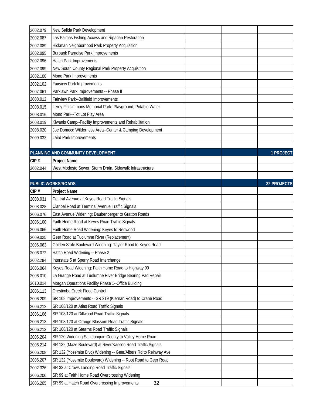| 2002.079 | New Salida Park Development                                      |  |                    |
|----------|------------------------------------------------------------------|--|--------------------|
| 2002.087 | Las Palmas Fishing Access and Riparian Restoration               |  |                    |
| 2002.089 | Hickman Neighborhood Park Property Acquisition                   |  |                    |
| 2002.095 | <b>Burbank Paradise Park Improvements</b>                        |  |                    |
| 2002.096 | Hatch Park Improvements                                          |  |                    |
| 2002.099 | New South County Regional Park Property Acquisition              |  |                    |
| 2002.100 | Mono Park Improvements                                           |  |                    |
| 2002.102 | Fairview Park Improvements                                       |  |                    |
| 2007.061 | Parklawn Park Improvements -- Phase II                           |  |                    |
| 2008.012 | Fairview Park--Ballfield Improvements                            |  |                    |
| 2008.015 | Leroy Fitzsimmons Memorial Park--Playground, Potable Water       |  |                    |
| 2008.016 | Mono Park--Tot Lot Play Area                                     |  |                    |
| 2008.019 | Kiwanis Camp--Facility Improvements and Rehabilitation           |  |                    |
| 2008.020 | Joe Domecq Wilderness Area--Center & Camping Development         |  |                    |
| 2009.033 | Laird Park Improvements                                          |  |                    |
|          |                                                                  |  |                    |
|          | PLANNING AND COMMUNITY DEVELOPMENT                               |  | 1 PROJECT          |
| CIP#     | Project Name                                                     |  |                    |
| 2002.044 | West Modesto Sewer, Storm Drain, Sidewalk Infrastructure         |  |                    |
|          |                                                                  |  |                    |
|          | <b>PUBLIC WORKS/ROADS</b>                                        |  | <b>32 PROJECTS</b> |
| CIP#     | Project Name                                                     |  |                    |
| 2008.031 | Central Avenue at Keyes Road Traffic Signals                     |  |                    |
| 2008.028 | Claribel Road at Terminal Avenue Traffic Signals                 |  |                    |
| 2006.076 | East Avenue Widening: Daubenberger to Gratton Roads              |  |                    |
| 2006.100 | Faith Home Road at Keyes Road Traffic Signals                    |  |                    |
| 2006.066 | Faith Home Road Widening: Keyes to Redwood                       |  |                    |
| 2009.025 | Geer Road at Tuolumne River (Replacement)                        |  |                    |
| 2006.063 | Golden State Boulevard Widening: Taylor Road to Keyes Road       |  |                    |
| 2006.072 | Hatch Road Widening -- Phase 2                                   |  |                    |
| 2002.284 | Interstate 5 at Sperry Road Interchange                          |  |                    |
| 2006.064 | Keyes Road Widening: Faith Home Road to Highway 99               |  |                    |
| 2006.010 | La Grange Road at Tuolumne River Bridge Bearing Pad Repair       |  |                    |
| 2010.014 | Morgan Operations Facility Phase 1--Office Building              |  |                    |
| 2006.113 | Orestimba Creek Flood Control                                    |  |                    |
| 2006.209 | SR 108 Improvements -- SR 219 (Kiernan Road) to Crane Road       |  |                    |
| 2006.212 | SR 108/120 at Atlas Road Traffic Signals                         |  |                    |
| 2006.106 | SR 108/120 at Dillwood Road Traffic Signals                      |  |                    |
| 2006.213 | SR 108/120 at Orange Blossom Road Traffic Signals                |  |                    |
| 2006.213 | SR 108/120 at Stearns Road Traffic Signals                       |  |                    |
| 2006.204 | SR 120 Widening San Joaquin County to Valley Home Road           |  |                    |
| 2006.214 | SR 132 (Maze Boulevard) at River/Kasson Road Traffic Signals     |  |                    |
| 2006.208 | SR 132 (Yosemite Blvd) Widening -- Geer/Albers Rd to Reinway Ave |  |                    |
| 2006.207 | SR 132 (Yosemite Boulevard) Widening -- Root Road to Geer Road   |  |                    |
| 2002.326 | SR 33 at Crows Landing Road Traffic Signals                      |  |                    |
| 2006.206 | SR 99 at Faith Home Road Overcrossing Widening                   |  |                    |
| 2006.205 | SR 99 at Hatch Road Overcrossing Improvements<br>32              |  |                    |